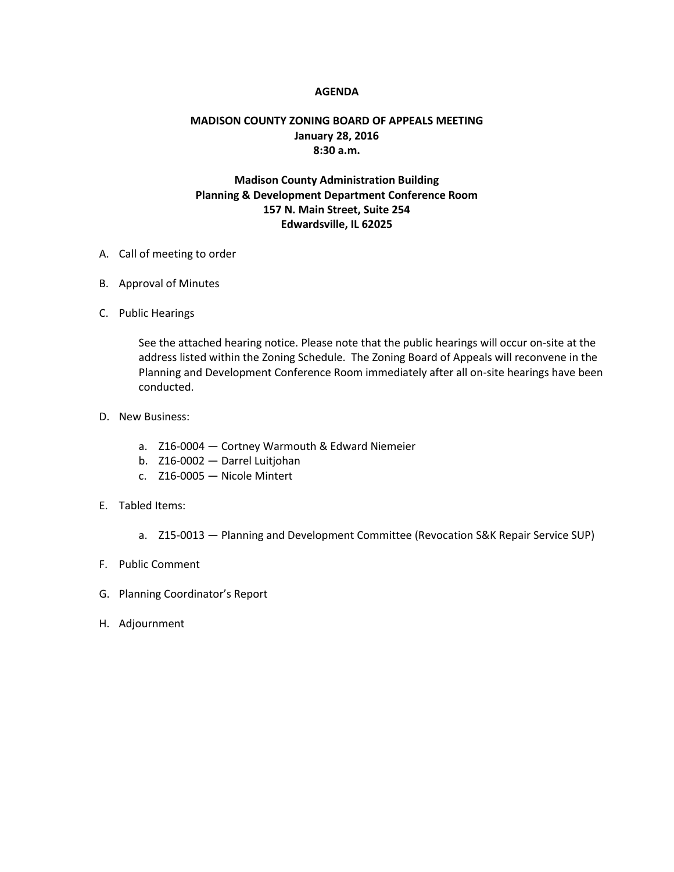## **AGENDA**

## **MADISON COUNTY ZONING BOARD OF APPEALS MEETING January 28, 2016 8:30 a.m.**

## **Madison County Administration Building Planning & Development Department Conference Room 157 N. Main Street, Suite 254 Edwardsville, IL 62025**

- A. Call of meeting to order
- B. Approval of Minutes
- C. Public Hearings

See the attached hearing notice. Please note that the public hearings will occur on-site at the address listed within the Zoning Schedule. The Zoning Board of Appeals will reconvene in the Planning and Development Conference Room immediately after all on-site hearings have been conducted.

- D. New Business:
	- a. Z16-0004 Cortney Warmouth & Edward Niemeier
	- b. Z16-0002 Darrel Luitjohan
	- c. Z16-0005 Nicole Mintert
- E. Tabled Items:
	- a. Z15-0013 Planning and Development Committee (Revocation S&K Repair Service SUP)
- F. Public Comment
- G. Planning Coordinator's Report
- H. Adjournment